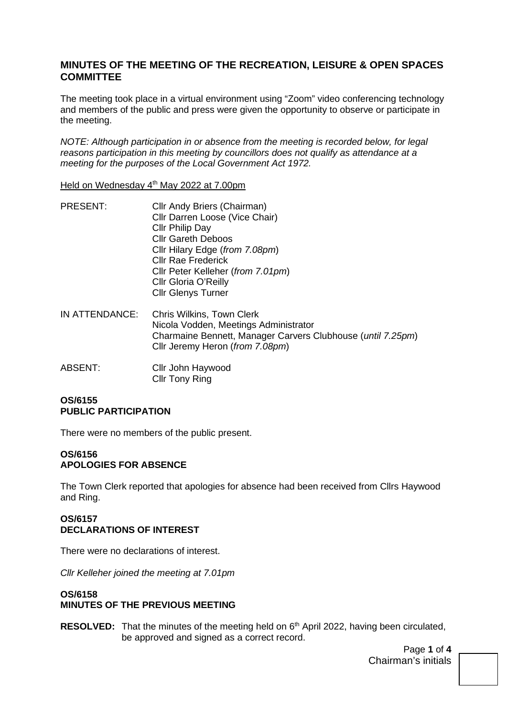## **MINUTES OF THE MEETING OF THE RECREATION, LEISURE & OPEN SPACES COMMITTEE**

The meeting took place in a virtual environment using "Zoom" video conferencing technology and members of the public and press were given the opportunity to observe or participate in the meeting.

*NOTE: Although participation in or absence from the meeting is recorded below, for legal reasons participation in this meeting by councillors does not qualify as attendance at a meeting for the purposes of the Local Government Act 1972.* 

Held on Wednesday 4th May 2022 at 7.00pm

| <b>PRESENT:</b> | Cllr Andy Briers (Chairman)       |  |
|-----------------|-----------------------------------|--|
|                 | Cllr Darren Loose (Vice Chair)    |  |
|                 | Cllr Philip Day                   |  |
|                 | <b>Cllr Gareth Deboos</b>         |  |
|                 | Cllr Hilary Edge (from 7.08pm)    |  |
|                 | <b>Cllr Rae Frederick</b>         |  |
|                 | Cllr Peter Kelleher (from 7.01pm) |  |
|                 | Cllr Gloria O'Reilly              |  |
|                 | <b>Cllr Glenys Turner</b>         |  |
|                 |                                   |  |
|                 |                                   |  |

- IN ATTENDANCE: Chris Wilkins, Town Clerk Nicola Vodden, Meetings Administrator Charmaine Bennett, Manager Carvers Clubhouse (*until 7.25pm*) Cllr Jeremy Heron (*from 7.08pm*)
- ABSENT: Cllr John Haywood Cllr Tony Ring

## **OS/6155 PUBLIC PARTICIPATION**

There were no members of the public present.

## **OS/6156 APOLOGIES FOR ABSENCE**

The Town Clerk reported that apologies for absence had been received from Cllrs Haywood and Ring.

## **OS/6157 DECLARATIONS OF INTEREST**

There were no declarations of interest.

*Cllr Kelleher joined the meeting at 7.01pm* 

## **OS/6158 MINUTES OF THE PREVIOUS MEETING**

**RESOLVED:** That the minutes of the meeting held on 6<sup>th</sup> April 2022, having been circulated, be approved and signed as a correct record.

> Page **1** of **4** Chairman's initials

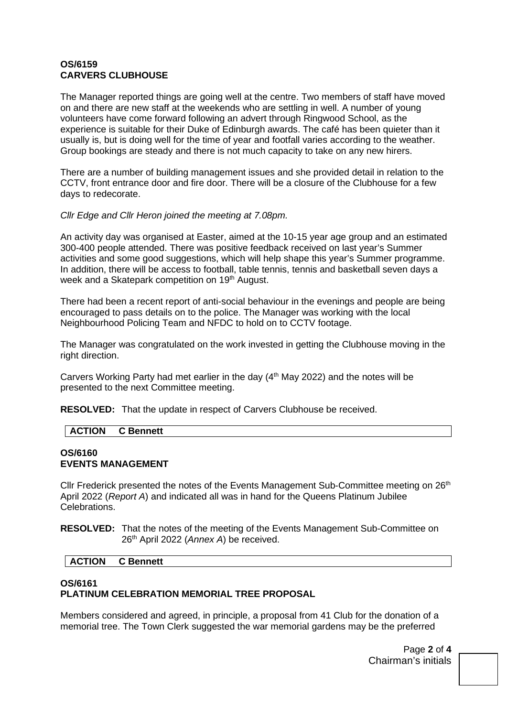## **OS/6159 CARVERS CLUBHOUSE**

The Manager reported things are going well at the centre. Two members of staff have moved on and there are new staff at the weekends who are settling in well. A number of young volunteers have come forward following an advert through Ringwood School, as the experience is suitable for their Duke of Edinburgh awards. The café has been quieter than it usually is, but is doing well for the time of year and footfall varies according to the weather. Group bookings are steady and there is not much capacity to take on any new hirers.

There are a number of building management issues and she provided detail in relation to the CCTV, front entrance door and fire door. There will be a closure of the Clubhouse for a few days to redecorate.

*Cllr Edge and Cllr Heron joined the meeting at 7.08pm.* 

An activity day was organised at Easter, aimed at the 10-15 year age group and an estimated 300-400 people attended. There was positive feedback received on last year's Summer activities and some good suggestions, which will help shape this year's Summer programme. In addition, there will be access to football, table tennis, tennis and basketball seven days a week and a Skatepark competition on 19<sup>th</sup> August.

There had been a recent report of anti-social behaviour in the evenings and people are being encouraged to pass details on to the police. The Manager was working with the local Neighbourhood Policing Team and NFDC to hold on to CCTV footage.

The Manager was congratulated on the work invested in getting the Clubhouse moving in the right direction.

Carvers Working Party had met earlier in the day  $(4<sup>th</sup>$  May 2022) and the notes will be presented to the next Committee meeting.

**RESOLVED:** That the update in respect of Carvers Clubhouse be received.

| <b>CTION</b><br>mett<br>u |
|---------------------------|
|---------------------------|

## **OS/6160 EVENTS MANAGEMENT**

Cllr Frederick presented the notes of the Events Management Sub-Committee meeting on 26<sup>th</sup> April 2022 (*Report A*) and indicated all was in hand for the Queens Platinum Jubilee Celebrations.

**RESOLVED:** That the notes of the meeting of the Events Management Sub-Committee on 26th April 2022 (*Annex A*) be received.

## **ACTION C Bennett**

# **OS/6161 PLATINUM CELEBRATION MEMORIAL TREE PROPOSAL**

Members considered and agreed, in principle, a proposal from 41 Club for the donation of a memorial tree. The Town Clerk suggested the war memorial gardens may be the preferred

> Page **2** of **4** Chairman's initials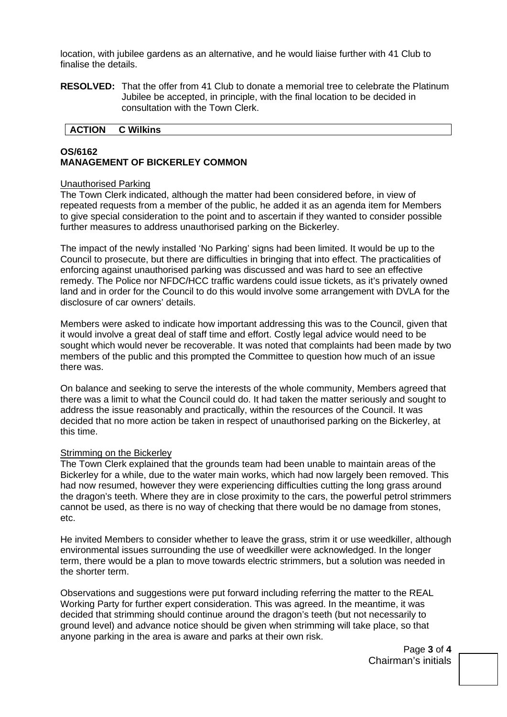location, with jubilee gardens as an alternative, and he would liaise further with 41 Club to finalise the details.

**RESOLVED:** That the offer from 41 Club to donate a memorial tree to celebrate the Platinum Jubilee be accepted, in principle, with the final location to be decided in consultation with the Town Clerk.

#### **ACTION C Wilkins**

## **OS/6162 MANAGEMENT OF BICKERLEY COMMON**

#### Unauthorised Parking

The Town Clerk indicated, although the matter had been considered before, in view of repeated requests from a member of the public, he added it as an agenda item for Members to give special consideration to the point and to ascertain if they wanted to consider possible further measures to address unauthorised parking on the Bickerley.

The impact of the newly installed 'No Parking' signs had been limited. It would be up to the Council to prosecute, but there are difficulties in bringing that into effect. The practicalities of enforcing against unauthorised parking was discussed and was hard to see an effective remedy. The Police nor NFDC/HCC traffic wardens could issue tickets, as it's privately owned land and in order for the Council to do this would involve some arrangement with DVLA for the disclosure of car owners' details.

Members were asked to indicate how important addressing this was to the Council, given that it would involve a great deal of staff time and effort. Costly legal advice would need to be sought which would never be recoverable. It was noted that complaints had been made by two members of the public and this prompted the Committee to question how much of an issue there was.

On balance and seeking to serve the interests of the whole community, Members agreed that there was a limit to what the Council could do. It had taken the matter seriously and sought to address the issue reasonably and practically, within the resources of the Council. It was decided that no more action be taken in respect of unauthorised parking on the Bickerley, at this time.

#### Strimming on the Bickerley

The Town Clerk explained that the grounds team had been unable to maintain areas of the Bickerley for a while, due to the water main works, which had now largely been removed. This had now resumed, however they were experiencing difficulties cutting the long grass around the dragon's teeth. Where they are in close proximity to the cars, the powerful petrol strimmers cannot be used, as there is no way of checking that there would be no damage from stones, etc.

He invited Members to consider whether to leave the grass, strim it or use weedkiller, although environmental issues surrounding the use of weedkiller were acknowledged. In the longer term, there would be a plan to move towards electric strimmers, but a solution was needed in the shorter term.

Observations and suggestions were put forward including referring the matter to the REAL Working Party for further expert consideration. This was agreed. In the meantime, it was decided that strimming should continue around the dragon's teeth (but not necessarily to ground level) and advance notice should be given when strimming will take place, so that anyone parking in the area is aware and parks at their own risk.

> Page **3** of **4** Chairman's initials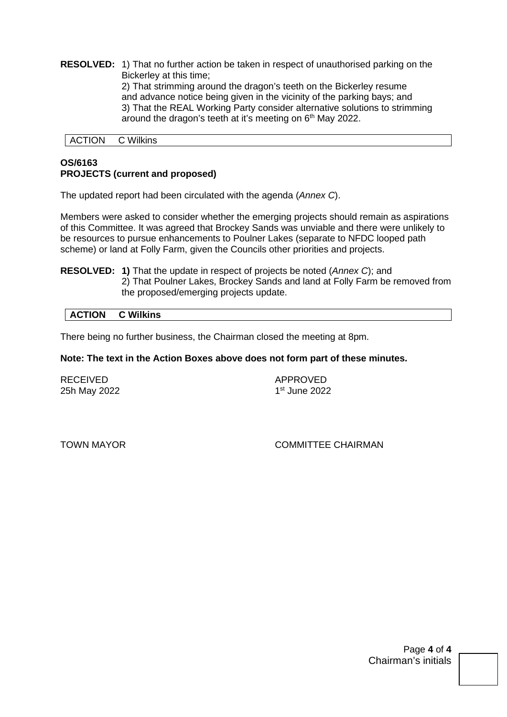**RESOLVED:** 1) That no further action be taken in respect of unauthorised parking on the Bickerley at this time; 2) That strimming around the dragon's teeth on the Bickerley resume and advance notice being given in the vicinity of the parking bays; and 3) That the REAL Working Party consider alternative solutions to strimming around the dragon's teeth at it's meeting on 6th May 2022.

ACTION C Wilkins

## **OS/6163 PROJECTS (current and proposed)**

The updated report had been circulated with the agenda (*Annex C*).

Members were asked to consider whether the emerging projects should remain as aspirations of this Committee. It was agreed that Brockey Sands was unviable and there were unlikely to be resources to pursue enhancements to Poulner Lakes (separate to NFDC looped path scheme) or land at Folly Farm, given the Councils other priorities and projects.

**RESOLVED: 1)** That the update in respect of projects be noted (*Annex C*); and 2) That Poulner Lakes, Brockey Sands and land at Folly Farm be removed from the proposed/emerging projects update.

#### **ACTION C Wilkins**

There being no further business, the Chairman closed the meeting at 8pm.

#### **Note: The text in the Action Boxes above does not form part of these minutes.**

| <b>RECEIVED</b> |  |
|-----------------|--|
| 25h May 2022    |  |

**APPROVED** 1st June 2022

TOWN MAYOR COMMITTEE CHAIRMAN

Page **4** of **4** Chairman's initials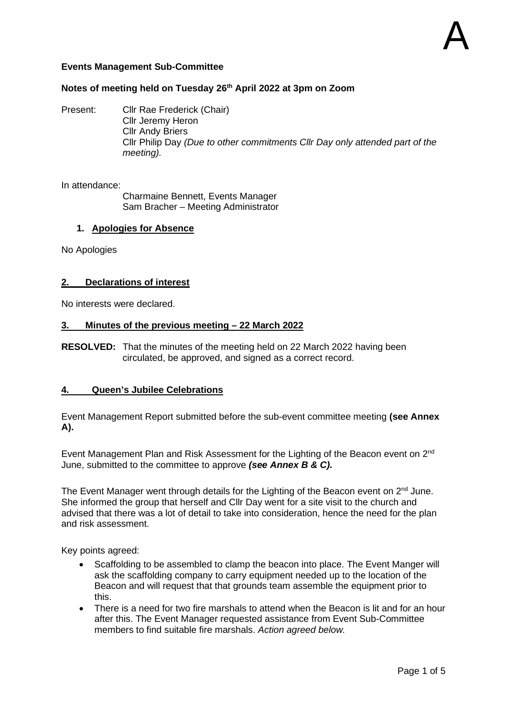## **Events Management Sub-Committee**

## **Notes of meeting held on Tuesday 26th April 2022 at 3pm on Zoom**

Present: Cllr Rae Frederick (Chair) Cllr Jeremy Heron Cllr Andy Briers

Cllr Philip Day *(Due to other commitments Cllr Day only attended part of the meeting).*

In attendance:

Charmaine Bennett, Events Manager Sam Bracher – Meeting Administrator

#### **1. Apologies for Absence**

No Apologies

#### **2. Declarations of interest**

No interests were declared.

#### **3. Minutes of the previous meeting – 22 March 2022**

**RESOLVED:** That the minutes of the meeting held on 22 March 2022 having been circulated, be approved, and signed as a correct record.

#### **4. Queen's Jubilee Celebrations**

Event Management Report submitted before the sub-event committee meeting **(see Annex A).** 

Event Management Plan and Risk Assessment for the Lighting of the Beacon event on 2<sup>nd</sup> June, submitted to the committee to approve *(see Annex B & C).* 

The Event Manager went through details for the Lighting of the Beacon event on 2<sup>nd</sup> June. She informed the group that herself and Cllr Day went for a site visit to the church and advised that there was a lot of detail to take into consideration, hence the need for the plan and risk assessment.

Key points agreed:

- Scaffolding to be assembled to clamp the beacon into place. The Event Manger will ask the scaffolding company to carry equipment needed up to the location of the Beacon and will request that that grounds team assemble the equipment prior to this.
- There is a need for two fire marshals to attend when the Beacon is lit and for an hour after this. The Event Manager requested assistance from Event Sub-Committee members to find suitable fire marshals. *Action agreed below.*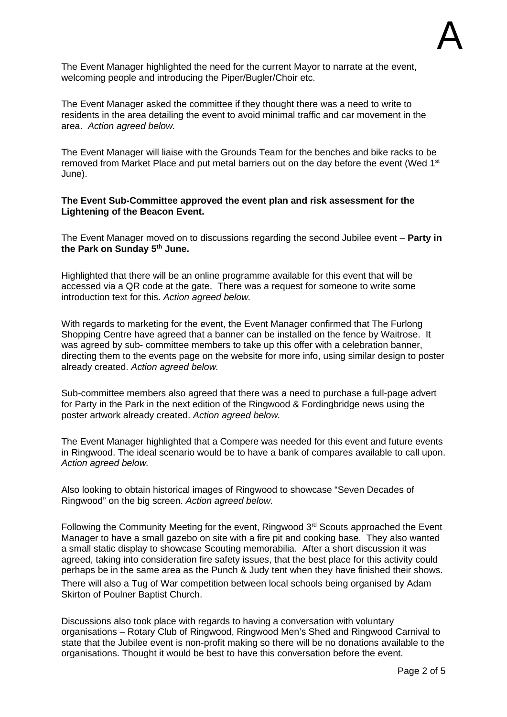The Event Manager highlighted the need for the current Mayor to narrate at the event, welcoming people and introducing the Piper/Bugler/Choir etc.

The Event Manager asked the committee if they thought there was a need to write to residents in the area detailing the event to avoid minimal traffic and car movement in the area. *Action agreed below.*

The Event Manager will liaise with the Grounds Team for the benches and bike racks to be removed from Market Place and put metal barriers out on the day before the event (Wed 1<sup>st</sup> June).

## **The Event Sub-Committee approved the event plan and risk assessment for the Lightening of the Beacon Event.**

The Event Manager moved on to discussions regarding the second Jubilee event – **Party in the Park on Sunday 5th June.**

Highlighted that there will be an online programme available for this event that will be accessed via a QR code at the gate. There was a request for someone to write some introduction text for this. *Action agreed below.*

With regards to marketing for the event, the Event Manager confirmed that The Furlong Shopping Centre have agreed that a banner can be installed on the fence by Waitrose. It was agreed by sub- committee members to take up this offer with a celebration banner, directing them to the events page on the website for more info, using similar design to poster already created. *Action agreed below.*

Sub-committee members also agreed that there was a need to purchase a full-page advert for Party in the Park in the next edition of the Ringwood & Fordingbridge news using the poster artwork already created. *Action agreed below.*

The Event Manager highlighted that a Compere was needed for this event and future events in Ringwood. The ideal scenario would be to have a bank of compares available to call upon. *Action agreed below.*

Also looking to obtain historical images of Ringwood to showcase "Seven Decades of Ringwood" on the big screen. *Action agreed below.*

Following the Community Meeting for the event, Ringwood 3<sup>rd</sup> Scouts approached the Event Manager to have a small gazebo on site with a fire pit and cooking base. They also wanted a small static display to showcase Scouting memorabilia. After a short discussion it was agreed, taking into consideration fire safety issues, that the best place for this activity could perhaps be in the same area as the Punch & Judy tent when they have finished their shows. There will also a Tug of War competition between local schools being organised by Adam Skirton of Poulner Baptist Church.

Discussions also took place with regards to having a conversation with voluntary organisations – Rotary Club of Ringwood, Ringwood Men's Shed and Ringwood Carnival to state that the Jubilee event is non-profit making so there will be no donations available to the organisations. Thought it would be best to have this conversation before the event.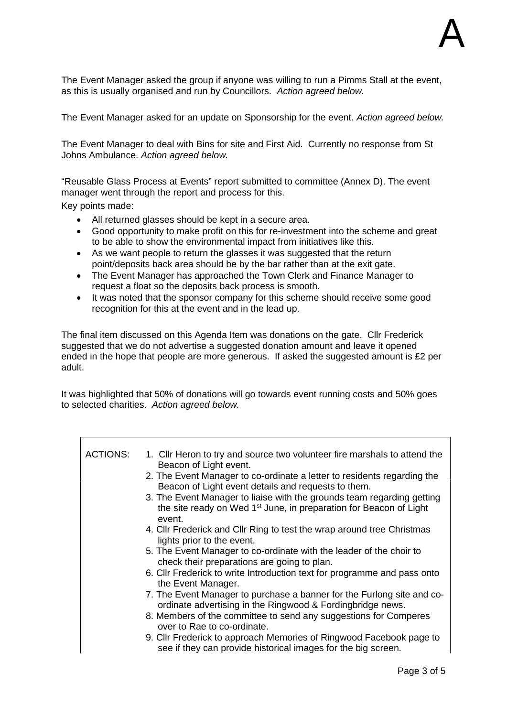The Event Manager asked the group if anyone was willing to run a Pimms Stall at the event, as this is usually organised and run by Councillors. *Action agreed below.*

The Event Manager asked for an update on Sponsorship for the event. *Action agreed below.* 

The Event Manager to deal with Bins for site and First Aid. Currently no response from St Johns Ambulance. *Action agreed below.*

"Reusable Glass Process at Events" report submitted to committee (Annex D). The event manager went through the report and process for this.

Key points made:

- All returned glasses should be kept in a secure area.
- Good opportunity to make profit on this for re-investment into the scheme and great to be able to show the environmental impact from initiatives like this.
- As we want people to return the glasses it was suggested that the return point/deposits back area should be by the bar rather than at the exit gate.
- The Event Manager has approached the Town Clerk and Finance Manager to request a float so the deposits back process is smooth.
- It was noted that the sponsor company for this scheme should receive some good recognition for this at the event and in the lead up.

The final item discussed on this Agenda Item was donations on the gate. Cllr Frederick suggested that we do not advertise a suggested donation amount and leave it opened ended in the hope that people are more generous. If asked the suggested amount is £2 per adult.

It was highlighted that 50% of donations will go towards event running costs and 50% goes to selected charities. *Action agreed below.*

| <b>ACTIONS:</b> | 1. Cllr Heron to try and source two volunteer fire marshals to attend the<br>Beacon of Light event.                                                                |
|-----------------|--------------------------------------------------------------------------------------------------------------------------------------------------------------------|
|                 | 2. The Event Manager to co-ordinate a letter to residents regarding the<br>Beacon of Light event details and requests to them.                                     |
|                 | 3. The Event Manager to liaise with the grounds team regarding getting<br>the site ready on Wed 1 <sup>st</sup> June, in preparation for Beacon of Light<br>event. |
|                 | 4. Cllr Frederick and Cllr Ring to test the wrap around tree Christmas<br>lights prior to the event.                                                               |
|                 | 5. The Event Manager to co-ordinate with the leader of the choir to<br>check their preparations are going to plan.                                                 |
|                 | 6. Cllr Frederick to write Introduction text for programme and pass onto<br>the Event Manager.                                                                     |
|                 | 7. The Event Manager to purchase a banner for the Furlong site and co-<br>ordinate advertising in the Ringwood & Fordingbridge news.                               |
|                 | 8. Members of the committee to send any suggestions for Comperes<br>over to Rae to co-ordinate.                                                                    |
|                 | 9. Cllr Frederick to approach Memories of Ringwood Facebook page to<br>see if they can provide historical images for the big screen.                               |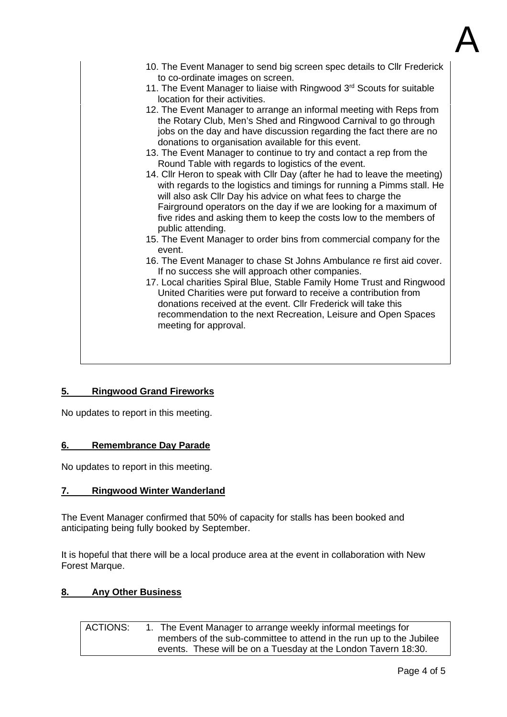

| 10. The Event Manager to send big screen spec details to Cllr Frederick<br>to co-ordinate images on screen.<br>11. The Event Manager to liaise with Ringwood 3rd Scouts for suitable<br>location for their activities.<br>12. The Event Manager to arrange an informal meeting with Reps from<br>the Rotary Club, Men's Shed and Ringwood Carnival to go through<br>jobs on the day and have discussion regarding the fact there are no<br>donations to organisation available for this event.<br>13. The Event Manager to continue to try and contact a rep from the<br>Round Table with regards to logistics of the event.<br>14. Cllr Heron to speak with Cllr Day (after he had to leave the meeting)<br>with regards to the logistics and timings for running a Pimms stall. He<br>will also ask Cllr Day his advice on what fees to charge the<br>Fairground operators on the day if we are looking for a maximum of<br>five rides and asking them to keep the costs low to the members of<br>public attending.<br>15. The Event Manager to order bins from commercial company for the<br>event.<br>16. The Event Manager to chase St Johns Ambulance re first aid cover.<br>If no success she will approach other companies.<br>17. Local charities Spiral Blue, Stable Family Home Trust and Ringwood<br>United Charities were put forward to receive a contribution from<br>donations received at the event. Cllr Frederick will take this<br>recommendation to the next Recreation, Leisure and Open Spaces<br>meeting for approval. |
|------------------------------------------------------------------------------------------------------------------------------------------------------------------------------------------------------------------------------------------------------------------------------------------------------------------------------------------------------------------------------------------------------------------------------------------------------------------------------------------------------------------------------------------------------------------------------------------------------------------------------------------------------------------------------------------------------------------------------------------------------------------------------------------------------------------------------------------------------------------------------------------------------------------------------------------------------------------------------------------------------------------------------------------------------------------------------------------------------------------------------------------------------------------------------------------------------------------------------------------------------------------------------------------------------------------------------------------------------------------------------------------------------------------------------------------------------------------------------------------------------------------------------------------------|
|                                                                                                                                                                                                                                                                                                                                                                                                                                                                                                                                                                                                                                                                                                                                                                                                                                                                                                                                                                                                                                                                                                                                                                                                                                                                                                                                                                                                                                                                                                                                                |

## **5. Ringwood Grand Fireworks**

No updates to report in this meeting.

## **6. Remembrance Day Parade**

No updates to report in this meeting.

## **7. Ringwood Winter Wanderland**

The Event Manager confirmed that 50% of capacity for stalls has been booked and anticipating being fully booked by September.

It is hopeful that there will be a local produce area at the event in collaboration with New Forest Marque.

## **8. Any Other Business**

ACTIONS: 1. The Event Manager to arrange weekly informal meetings for members of the sub-committee to attend in the run up to the Jubilee events. These will be on a Tuesday at the London Tavern 18:30.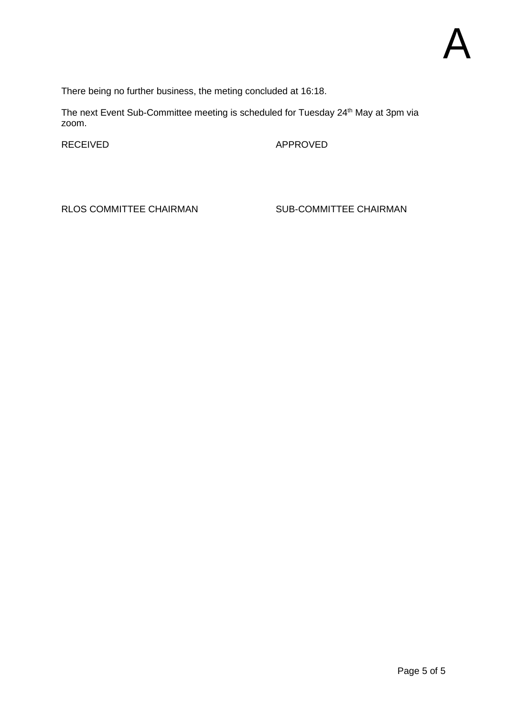There being no further business, the meting concluded at 16:18.

The next Event Sub-Committee meeting is scheduled for Tuesday 24<sup>th</sup> May at 3pm via zoom.

RECEIVED APPROVED

RLOS COMMITTEE CHAIRMAN SUB-COMMITTEE CHAIRMAN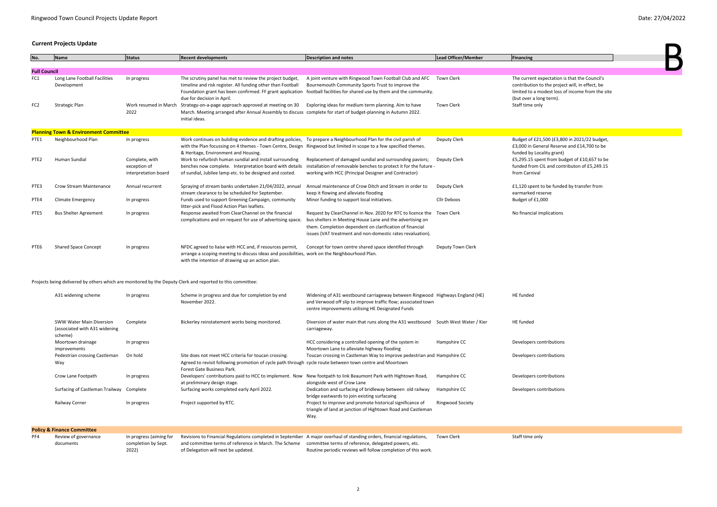## **Current Projects Update**

| No.                 | <b>Name</b>                                      | <b>Status</b>                                          | <b>Recent developments</b>                                                                                                                                                                                               | <b>Description and notes</b>                                                                                                                                                                                                                       | Lead Officer/Member | Financing                                                    |
|---------------------|--------------------------------------------------|--------------------------------------------------------|--------------------------------------------------------------------------------------------------------------------------------------------------------------------------------------------------------------------------|----------------------------------------------------------------------------------------------------------------------------------------------------------------------------------------------------------------------------------------------------|---------------------|--------------------------------------------------------------|
|                     |                                                  |                                                        |                                                                                                                                                                                                                          |                                                                                                                                                                                                                                                    |                     |                                                              |
| <b>Full Council</b> |                                                  |                                                        |                                                                                                                                                                                                                          |                                                                                                                                                                                                                                                    |                     |                                                              |
| FC1                 | Long Lane Football Facilities<br>Development     | In progress                                            | The scrutiny panel has met to review the project budget,<br>timeline and risk register. All funding other than Football                                                                                                  | A joint venture with Ringwood Town Football Club and AFC<br>Bournemouth Community Sports Trust to improve the<br>Foundation grant has been confirmed. FF grant application football facilities for shared use by them and the community.           | Town Clerk          | The current exped<br>contribution to th<br>limited to a mode |
| FC <sub>2</sub>     | Strategic Plan                                   | Work resumed in March<br>2022                          | due for decision in April.<br>Strategy-on-a-page approach approved at meeting on 30<br>March. Meeting arranged after Annual Assembly to discuss complete for start of budget-planning in Autumn 2022.<br>initial ideas.  | Exploring ideas for medium term planning. Aim to have                                                                                                                                                                                              | <b>Town Clerk</b>   | (but over a long to<br>Staff time only                       |
|                     | <b>Planning Town &amp; Environment Committee</b> |                                                        |                                                                                                                                                                                                                          |                                                                                                                                                                                                                                                    |                     |                                                              |
| PTE1                | Neighbourhood Plan                               | In progress                                            | Work continues on buliding evidence and drafting policies,<br>with the Plan focussing on 4 themes - Town Centre, Design Ringwood but limited in scope to a few specified themes.<br>& Heritage, Environment and Housing. | To prepare a Neighbourhood Plan for the civil parish of                                                                                                                                                                                            | Deputy Clerk        | Budget of £21,50<br>£3,000 in General<br>funded by Locality  |
| PTE <sub>2</sub>    | Human Sundial                                    | Complete, with<br>exception of<br>interpretation board | Work to refurbish human sundial and install surrounding<br>benches now complete. Interpretation board with details<br>of sundial, Jubilee lamp etc. to be designed and costed.                                           | Replacement of damaged sundial and surrounding paviors;<br>installation of removable benches to protect it for the future -<br>working with HCC (Principal Designer and Contractor)                                                                | Deputy Clerk        | £5,295.15 spent f<br>funded from CIL a<br>from Carnival      |
| PTE3                | <b>Crow Stream Maintenance</b>                   | Annual recurrent                                       | Spraying of stream banks undertaken 21/04/2022, annual<br>stream clearance to be scheduled for September.                                                                                                                | Annual maintenance of Crow Ditch and Stream in order to<br>keep it flowing and alleviate flooding                                                                                                                                                  | Deputy Clerk        | $£1,120$ spent to b<br>earmarked reserv                      |
| PTE4                | <b>Climate Emergency</b>                         | In progress                                            | Funds used to support Greening Campaign, community<br>litter-pick and Flood Action Plan leaflets.                                                                                                                        | Minor funding to support local initiatives.                                                                                                                                                                                                        | Cllr Deboos         | Budget of £1,000                                             |
| PTE5                | <b>Bus Shelter Agreement</b>                     | In progress                                            | Response awaited from ClearChannel on the financial<br>complications and on request for use of advertising space.                                                                                                        | Request by ClearChannel in Nov. 2020 for RTC to licence the<br>bus shelters in Meeting House Lane and the advertising on<br>them. Completion dependent on clarification of financial<br>issues (VAT treatment and non-domestic rates revaluation). | Town Clerk          | No financial impli                                           |
| PTE6                | <b>Shared Space Concept</b>                      | In progress                                            | NFDC agreed to liaise with HCC and, if resources permit,<br>arrange a scoping meeting to discuss ideas and possibilities, work on the Neighbourhood Plan.<br>with the intention of drawing up an action plan.            | Concept for town centre shared space identifed through                                                                                                                                                                                             | Deputy Town Clerk   |                                                              |
|                     |                                                  |                                                        | Projects being delivered by others which are monitored by the Deputy Clerk and reported to this committee:                                                                                                               |                                                                                                                                                                                                                                                    |                     |                                                              |
|                     | A31 widening scheme                              | In progress                                            | Scheme in progress and due for completion by end<br>November 2022.                                                                                                                                                       | Widening of A31 westbound carriageway between Ringwood Highways England (HE)<br>and Verwood off slip to improve traffic flow; associated town<br>centre improvements utilising HE Designated Funds                                                 |                     | <b>HE</b> funded                                             |

| <b>SWW Water Main Diversion</b><br>(associated with A31 widening<br>scheme) | Complete    | Bickerley reinstatement works being monitored.                                                                                                                                                 | Diversion of water main that runs along the A31 westbound<br>carriageway.                                                        | South West Water / Kier | HE funded     |
|-----------------------------------------------------------------------------|-------------|------------------------------------------------------------------------------------------------------------------------------------------------------------------------------------------------|----------------------------------------------------------------------------------------------------------------------------------|-------------------------|---------------|
| Moortown drainage<br>improvements                                           | In progress |                                                                                                                                                                                                | HCC considering a controlled opening of the system in<br>Moortown Lane to alleviate highway flooding                             | Hampshire CC            | Developers co |
| Pedestrian crossing Castleman<br>Way                                        | On hold     | Site does not meet HCC criteria for toucan crossing.<br>Agreed to revisit following promotion of cycle path through cycle route between town centre and Moortown<br>Forest Gate Business Park. | Toucan crossing in Castleman Way to improve pedestrian and Hampshire CC                                                          |                         | Developers co |
| Crow Lane Footpath                                                          | In progress | Developers' contributions paid to HCC to implement. Now<br>at preliminary design stage.                                                                                                        | New footpath to link Beaumont Park with Hightown Road,<br>alongside west of Crow Lane                                            | Hampshire CC            | Developers co |
| Surfacing of Castleman Trailway Complete                                    |             | Surfacing works completed early April 2022.                                                                                                                                                    | Dedication and surfacing of bridleway between old railway<br>bridge eastwards to join existing surfacaing                        | Hampshire CC            | Developers co |
| Railway Corner                                                              | In progress | Project supported by RTC.                                                                                                                                                                      | Project to improve and promote historical significance of<br>triangle of land at junction of Hightown Road and Castleman<br>Way. | <b>Ringwood Society</b> |               |

|     | <b>Policy &amp; Finance Committee</b> |                         |                                                                                                                       |                                                               |            |                 |
|-----|---------------------------------------|-------------------------|-----------------------------------------------------------------------------------------------------------------------|---------------------------------------------------------------|------------|-----------------|
| PF4 | Review of governance                  | In progress (aiming for | Revisions to Financial Regulations completed in September A major overhaul of standing orders, financial regulations, |                                                               | Town Clerk | Staff time only |
|     | documents                             | completion by Sept.     | and committee terms of reference in March. The Scheme committee terms of reference, delegated powers, etc.            |                                                               |            |                 |
|     |                                       | 2022)                   | of Delegation will next be updated.                                                                                   | Routine periodic reviews will follow completion of this work. |            |                 |



xpectation is that the Council's to the project will, in effect, be odest loss of income from the site ng term).

,500 (£3,800 in 2021/22 budget, eral Reserve and £14,700 to be ality grant) ent from budget of £10,657 to be  $CIL$  and contributon of £5,249.15

to be funded by transfer from serve

nplications

ontributions

ontributions

ontributions

ontributions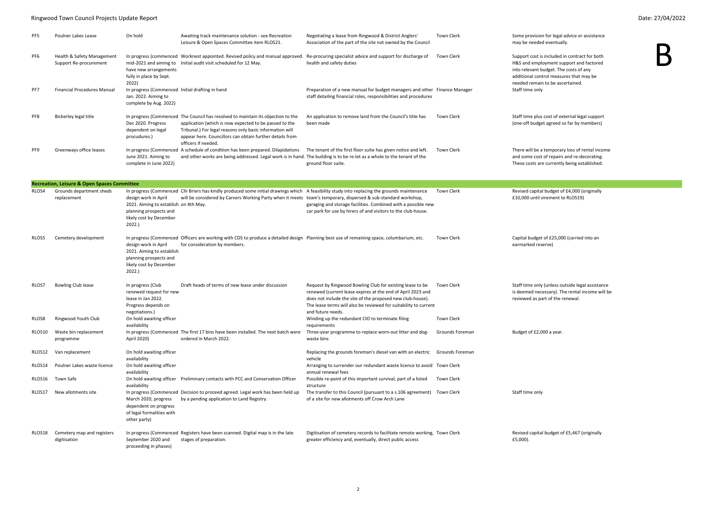## Ringwood Town Council Projects Update Report Date: 27/04/2022

| PF5    | Poulner Lakes Lease                                    | On hold                                                                                                                      | Awaiting track maintenance solution - see Recreation<br>Leisure & Open Spaces Committee item RLOS21.                                                                                                                                                                                      | Negotiating a lease from Ringwood & District Anglers'<br>Association of the part of the site not owned by the Council                                                                                                                                                           | <b>Town Clerk</b> | Some provisior<br>may be needed                                                         |
|--------|--------------------------------------------------------|------------------------------------------------------------------------------------------------------------------------------|-------------------------------------------------------------------------------------------------------------------------------------------------------------------------------------------------------------------------------------------------------------------------------------------|---------------------------------------------------------------------------------------------------------------------------------------------------------------------------------------------------------------------------------------------------------------------------------|-------------------|-----------------------------------------------------------------------------------------|
| PF6    | Health & Safety Management<br>Support Re-procurement   | have new arrangements<br>fully in place by Sept.<br>2022)                                                                    | mid-2021 and aiming to Initial audit visit scheduled for 12 May.                                                                                                                                                                                                                          | In progress (commenced Worknest appointed. Revised policy and manual approved. Re-procuring specialist advice and support for discharge of<br>health and safety duties                                                                                                          | Town Clerk        | Support cost is<br>H&S and emple<br>into relevant b<br>additional cont<br>needed remair |
| PF7    | <b>Financial Procedures Manual</b>                     | In progress (Commenced Initial drafting in hand<br>Jan. 2022. Aiming to<br>complete by Aug. 2022)                            |                                                                                                                                                                                                                                                                                           | Preparation of a new manual for budget managers and other Finance Manager<br>staff detailing financial roles, responsibilities and procedures                                                                                                                                   |                   | Staff time only                                                                         |
| PF8    | Bickerley legal title                                  | Dec 2020. Progress<br>dependent on legal<br>procudures.)                                                                     | In progress (Commenced The Council has resolved to maintain its objection to the<br>application (which is now expected to be passed to the<br>Tribunal.) For legal reasons only basic information will<br>appear here. Councillors can obtain further details from<br>officers if needed. | An application to remove land from the Council's title has<br>been made                                                                                                                                                                                                         | Town Clerk        | Staff time plus<br>(one-off budge                                                       |
| PF9    | Greenways office leases                                | June 2021. Aiming to<br>complete in June 2022)                                                                               | In progress (Commenced A schedule of condition has been prepared. Dilapidations<br>and other works are being addressed. Legal work is in hand. The building is to be re-let as a whole to the tenant of the                                                                               | The tenant of the first floor suite has given notice and left.<br>ground floor suite.                                                                                                                                                                                           | Town Clerk        | There will be a<br>and some cost<br>These costs are                                     |
|        | <b>Recreation, Leisure &amp; Open Spaces Committee</b> |                                                                                                                              |                                                                                                                                                                                                                                                                                           |                                                                                                                                                                                                                                                                                 |                   |                                                                                         |
| RLOS4  | Grounds department sheds<br>replacement                | design work in April<br>2021. Aiming to establish on 4th May.<br>planning prospects and<br>likely cost by December<br>2022.) | In progress (Commenced Cllr Briers has kindly produced some initial drawings which A feasibility study into replacing the grounds maintenance<br>will be considered by Carvers Working Party when it meets team's temporary, dispersed & sub-standard workshop,                           | garaging and storage facilities. Combined with a possible new<br>car park for use by hirers of and visitors to the club-house.                                                                                                                                                  | Town Clerk        | Revised capita<br>£10,000 until v                                                       |
| RLOS5  | Cemetery development                                   | design work in April<br>2021. Aiming to establish<br>planning prospects and<br>likely cost by December<br>2022.)             | In progress (Commenced Officers are working with CDS to produce a detailed design Planning best use of remaining space, columbarium, etc.<br>for consideration by members.                                                                                                                |                                                                                                                                                                                                                                                                                 | <b>Town Clerk</b> | Capital budget<br>earmarked res                                                         |
| RLOS7  | <b>Bowling Club lease</b>                              | In progress (Club<br>renewed request for new<br>lease in Jan 2022.<br>Progress depends on<br>negotiations.)                  | Draft heads of terms of new lease under discussion                                                                                                                                                                                                                                        | Request by Ringwood Bowling Club for existing lease to be<br>renewed (current lease expires at the end of April 2023 and<br>does not include the site of the proposed new club-house).<br>The lease terms will also be reviewed for suitability to current<br>and future needs. | Town Clerk        | Staff time only<br>is deemed nec<br>reviewed as pa                                      |
| RLOS8  | Ringwood Youth Club                                    | On hold awaiting officer<br>availability                                                                                     |                                                                                                                                                                                                                                                                                           | Winding up the redundant CIO to terminate filing<br>requirements                                                                                                                                                                                                                | <b>Town Clerk</b> |                                                                                         |
| RLOS10 | Waste bin replacement<br>programme                     | April 2020)                                                                                                                  | In progress (Commenced The first 17 bins have been installed. The next batch were<br>ordered in March 2022.                                                                                                                                                                               | Three-year programme to replace worn-out litter and dog-<br>waste bins                                                                                                                                                                                                          | Grounds Foreman   | Budget of £2,0                                                                          |
| RLOS12 | Van replacement                                        | On hold awaiting officer<br>availability                                                                                     |                                                                                                                                                                                                                                                                                           | Replacing the grounds foreman's diesel van with an electric<br>vehicle                                                                                                                                                                                                          | Grounds Foreman   |                                                                                         |
| RLOS14 | Poulner Lakes waste licence                            | On hold awaiting officer<br>availability                                                                                     |                                                                                                                                                                                                                                                                                           | Arranging to surrender our redundant waste licence to avoid Town Clerk<br>annual renewal fees                                                                                                                                                                                   |                   |                                                                                         |
| RLOS16 | Town Safe                                              | availability                                                                                                                 | On hold awaiting officer Preliminary contacts with PCC and Conservation Officer                                                                                                                                                                                                           | Possible re-paint of this important survival, part of a listed<br>structure                                                                                                                                                                                                     | <b>Town Clerk</b> |                                                                                         |
| RLOS17 | New allotments site                                    | March 2020, progress<br>dependent on progress<br>of legal formalities with<br>other party)                                   | In progress (Commenced Decision to proceed agreed. Legal work has been held up<br>by a pending application to Land Registry.                                                                                                                                                              | The transfer to this Council (pursuant to a s.106 agreement) Town Clerk<br>of a site for new allotments off Crow Arch Lane                                                                                                                                                      |                   | Staff time only                                                                         |
| RLOS18 | Cemetery map and registers<br>digitisation             | September 2020 and<br>proceeding in phases)                                                                                  | In progress (Commenced Registers have been scanned. Digital map is in the late<br>stages of preparation.                                                                                                                                                                                  | Digitisation of cemetery records to facilitate remote working, Town Clerk<br>greater efficiency and, eventually, direct public access                                                                                                                                           |                   | Revised capital<br>£5,000).                                                             |

In for legal advice or assistance d eventually.



s included in contract for both loyment support and factored oudget. The costs of any trol measures that may be in to be ascertained.

s cost of external legal support et agreed so far by members)

a temporary loss of rental income t of repairs and re-decorating. re currently being established.

I budget of £4,000 (originally virement to RLOS19)

t of £25,000 (carried into an serve)

y (unless outside legal assistance .<br>cessary). The rental income will be art of the renewal.

000 a year.

al budget of £5,467 (originally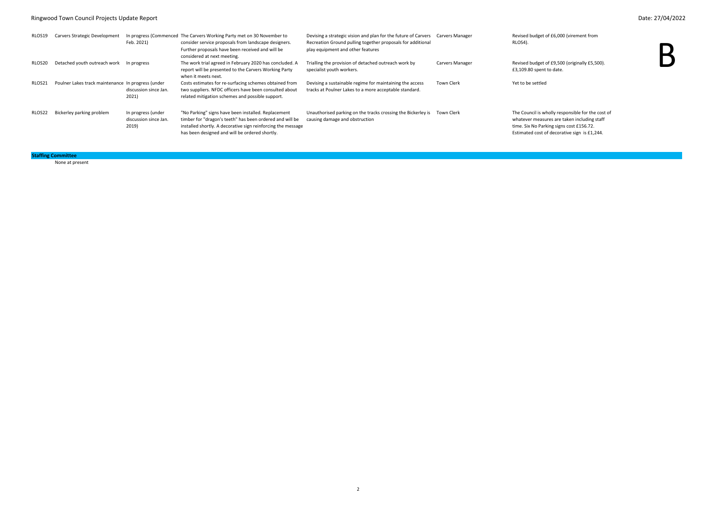# Ringwood Town Council Projects Update Report Date: 27/04/2022

| RLOS19 | Carvers Strategic Development                      | Feb. 2021)                                           | In progress (Commenced The Carvers Working Party met on 30 November to<br>consider service proposals from landscape designers.<br>Further proposals have been received and will be<br>considered at next meeting.                 | Devising a strategic vision and plan for the future of Carvers<br>Recreation Ground pulling together proposals for additional<br>play equipment and other features | Carvers Manager        | Revised budget<br>RLOS4).                                                   |
|--------|----------------------------------------------------|------------------------------------------------------|-----------------------------------------------------------------------------------------------------------------------------------------------------------------------------------------------------------------------------------|--------------------------------------------------------------------------------------------------------------------------------------------------------------------|------------------------|-----------------------------------------------------------------------------|
| RLOS20 | Detached youth outreach work                       | In progress                                          | The work trial agreed in February 2020 has concluded. A<br>report will be presented to the Carvers Working Party<br>when it meets next.                                                                                           | Trialling the provision of detached outreach work by<br>specialist youth workers.                                                                                  | <b>Carvers Manager</b> | Revised budget<br>£3,109.80 spent                                           |
| RLOS21 | Poulner Lakes track maintenance In progress (under | discussion since Jan.<br>2021)                       | Costs estimates for re-surfacing schemes obtained from<br>two suppliers. NFDC officers have been consulted about<br>related mitigation schemes and possible support.                                                              | Devising a sustainable regime for maintaining the access<br>tracks at Poulner Lakes to a more acceptable standard.                                                 | <b>Town Clerk</b>      | Yet to be settled                                                           |
| RLOS22 | Bickerley parking problem                          | In progress (under<br>discussion since Jan.<br>2019) | "No Parking" signs have been installed. Replacement<br>timber for "dragon's teeth" has been ordered and will be<br>installed shortly. A decorative sign reinforcing the message<br>has been designed and will be ordered shortly. | Unauthorised parking on the tracks crossing the Bickerley is<br>causing damage and obstruction                                                                     | Town Clerk             | The Council is w<br>whatever measu<br>time. Six No Parl<br>Estimated cost o |

None at present

# **Staffing Committee**

get of £6,000 (virement from



get of £9,500 (originally £5,500). ent to date.

s wholly responsible for the cost of  $\frac{1}{2}$  asures are taken including staff ere.<br>Parking signs cost £156.72. st of decorative sign is  $£1,244$ .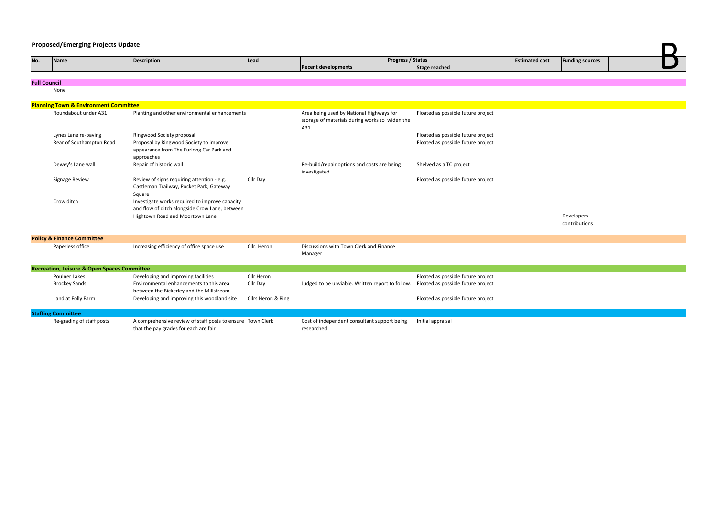# **Proposed/Emerging Projects Update**

|                     | <b>Proposed/Emerging Projects Update</b>               |                                                                                                     |                    |                                                                                                    |                                    |                       |                        |  |
|---------------------|--------------------------------------------------------|-----------------------------------------------------------------------------------------------------|--------------------|----------------------------------------------------------------------------------------------------|------------------------------------|-----------------------|------------------------|--|
| No.                 | Name                                                   | <b>Description</b>                                                                                  | Lead               | Progress / Status                                                                                  |                                    | <b>Estimated cost</b> | <b>Funding sources</b> |  |
|                     |                                                        |                                                                                                     |                    | <b>Recent developments</b>                                                                         | <b>Stage reached</b>               |                       |                        |  |
| <b>Full Council</b> |                                                        |                                                                                                     |                    |                                                                                                    |                                    |                       |                        |  |
|                     | None                                                   |                                                                                                     |                    |                                                                                                    |                                    |                       |                        |  |
|                     |                                                        |                                                                                                     |                    |                                                                                                    |                                    |                       |                        |  |
|                     | <b>Planning Town &amp; Environment Committee</b>       |                                                                                                     |                    |                                                                                                    |                                    |                       |                        |  |
|                     | Roundabout under A31                                   | Planting and other environmental enhancements                                                       |                    | Area being used by National Highways for<br>storage of materials during works to widen the<br>A31. | Floated as possible future project |                       |                        |  |
|                     | Lynes Lane re-paving                                   | Ringwood Society proposal                                                                           |                    |                                                                                                    | Floated as possible future project |                       |                        |  |
|                     | Rear of Southampton Road                               | Proposal by Ringwood Society to improve                                                             |                    |                                                                                                    | Floated as possible future project |                       |                        |  |
|                     |                                                        | appearance from The Furlong Car Park and                                                            |                    |                                                                                                    |                                    |                       |                        |  |
|                     | Dewey's Lane wall                                      | approaches<br>Repair of historic wall                                                               |                    | Re-build/repair options and costs are being                                                        | Shelved as a TC project            |                       |                        |  |
|                     |                                                        |                                                                                                     |                    | investigated                                                                                       |                                    |                       |                        |  |
|                     | Signage Review                                         | Review of signs requiring attention - e.g.<br>Castleman Trailway, Pocket Park, Gateway<br>Square    | Cllr Day           |                                                                                                    | Floated as possible future project |                       |                        |  |
|                     | Crow ditch                                             | Investigate works required to improve capacity<br>and flow of ditch alongside Crow Lane, between    |                    |                                                                                                    |                                    |                       |                        |  |
|                     |                                                        | Hightown Road and Moortown Lane                                                                     |                    |                                                                                                    |                                    |                       | Developers             |  |
|                     |                                                        |                                                                                                     |                    |                                                                                                    |                                    |                       | contributions          |  |
|                     | <b>Policy &amp; Finance Committee</b>                  |                                                                                                     |                    |                                                                                                    |                                    |                       |                        |  |
|                     | Paperless office                                       | Increasing efficiency of office space use                                                           | Cllr. Heron        | Discussions with Town Clerk and Finance                                                            |                                    |                       |                        |  |
|                     |                                                        |                                                                                                     |                    | Manager                                                                                            |                                    |                       |                        |  |
|                     | <b>Recreation, Leisure &amp; Open Spaces Committee</b> |                                                                                                     |                    |                                                                                                    |                                    |                       |                        |  |
|                     | <b>Poulner Lakes</b>                                   | Developing and improving facilities                                                                 | Cllr Heron         |                                                                                                    | Floated as possible future project |                       |                        |  |
|                     | <b>Brockey Sands</b>                                   | Environmental enhancements to this area                                                             | Cllr Day           | Judged to be unviable. Written report to follow.                                                   | Floated as possible future project |                       |                        |  |
|                     |                                                        | between the Bickerley and the Millstream                                                            |                    |                                                                                                    |                                    |                       |                        |  |
|                     | Land at Folly Farm                                     | Developing and improving this woodland site                                                         | Cllrs Heron & Ring |                                                                                                    | Floated as possible future project |                       |                        |  |
|                     | <b>Staffing Committee</b>                              |                                                                                                     |                    |                                                                                                    |                                    |                       |                        |  |
|                     | Re-grading of staff posts                              | A comprehensive review of staff posts to ensure Town Clerk<br>that the pay grades for each are fair |                    | Cost of independent consultant support being<br>researched                                         | Initial appraisal                  |                       |                        |  |